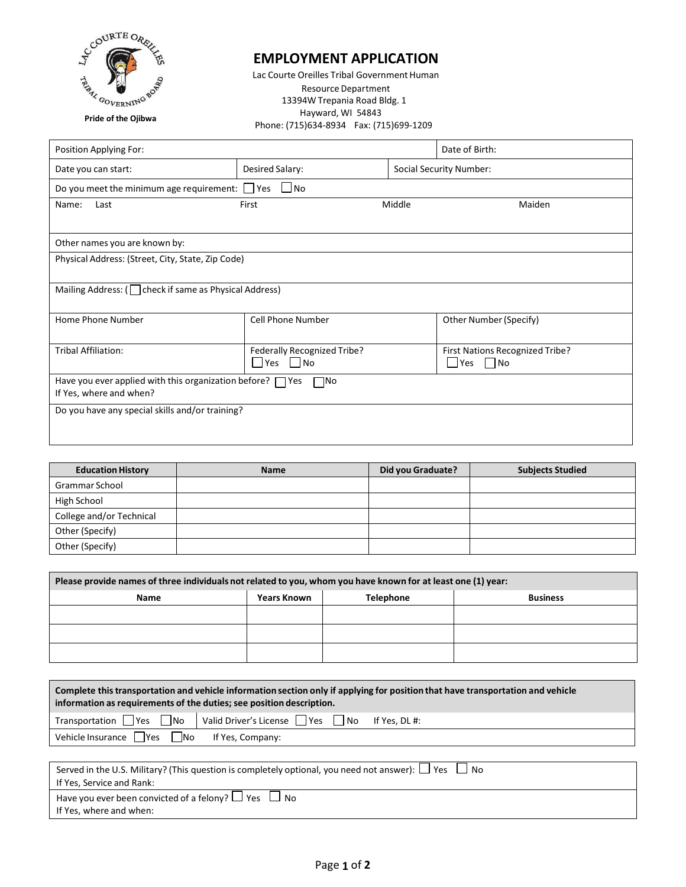

## **EMPLOYMENT APPLICATION**

Lac Courte Oreilles Tribal Government Human Resource Department 13394W Trepania Road Bldg. 1 Hayward, WI 54843 Phone: (715)634-8934 Fax: (715)699-1209

| Position Applying For:                                                                             |                                                    |        | Date of Birth:                                 |  |
|----------------------------------------------------------------------------------------------------|----------------------------------------------------|--------|------------------------------------------------|--|
| Date you can start:                                                                                | Desired Salary:                                    |        | <b>Social Security Number:</b>                 |  |
| Do you meet the minimum age requirement: $\Box$ Yes $\Box$ No                                      |                                                    |        |                                                |  |
| Name:<br>Last                                                                                      | First                                              | Middle | Maiden                                         |  |
|                                                                                                    |                                                    |        |                                                |  |
| Other names you are known by:                                                                      |                                                    |        |                                                |  |
| Physical Address: (Street, City, State, Zip Code)                                                  |                                                    |        |                                                |  |
|                                                                                                    |                                                    |        |                                                |  |
| Mailing Address: ( $\Box$ check if same as Physical Address)                                       |                                                    |        |                                                |  |
| Home Phone Number                                                                                  | <b>Cell Phone Number</b>                           |        | Other Number (Specify)                         |  |
| <b>Tribal Affiliation:</b>                                                                         | Federally Recognized Tribe?<br><b>Pres</b><br>l No |        | First Nations Recognized Tribe?<br>Yes<br>  No |  |
| Have you ever applied with this organization before? $\Box$ Yes<br>– No<br>If Yes, where and when? |                                                    |        |                                                |  |
| Do you have any special skills and/or training?                                                    |                                                    |        |                                                |  |
|                                                                                                    |                                                    |        |                                                |  |

| <b>Education History</b> | <b>Name</b> | Did you Graduate? | <b>Subjects Studied</b> |
|--------------------------|-------------|-------------------|-------------------------|
| Grammar School           |             |                   |                         |
| High School              |             |                   |                         |
| College and/or Technical |             |                   |                         |
| Other (Specify)          |             |                   |                         |
| Other (Specify)          |             |                   |                         |

| Please provide names of three individuals not related to you, whom you have known for at least one (1) year: |                    |                  |                 |
|--------------------------------------------------------------------------------------------------------------|--------------------|------------------|-----------------|
| Name                                                                                                         | <b>Years Known</b> | <b>Telephone</b> | <b>Business</b> |
|                                                                                                              |                    |                  |                 |
|                                                                                                              |                    |                  |                 |
|                                                                                                              |                    |                  |                 |

| Complete this transportation and vehicle information section only if applying for position that have transportation and vehicle<br>information as requirements of the duties; see position description. |                                                 |  |  |
|---------------------------------------------------------------------------------------------------------------------------------------------------------------------------------------------------------|-------------------------------------------------|--|--|
| $Transportation$ $\bigcap$ Yes $\bigcap$ No                                                                                                                                                             | Valid Driver's License ■ Yes ■ No If Yes, DL #: |  |  |
| Vehicle Insurance TYes No                                                                                                                                                                               | If Yes, Company:                                |  |  |
|                                                                                                                                                                                                         |                                                 |  |  |
| Consol in the U.C. Military $2/\pi$ is question is completely entianal you need not answer. $\Box$ Vec                                                                                                  |                                                 |  |  |

| Served in the U.S. Military? (This question is completely optional, you need not answer): $\Box$ Yes $\Box$ No |
|----------------------------------------------------------------------------------------------------------------|
| If Yes. Service and Rank:                                                                                      |
| Have you ever been convicted of a felony? $\Box$ Yes $\Box$ No                                                 |
| If Yes, where and when:                                                                                        |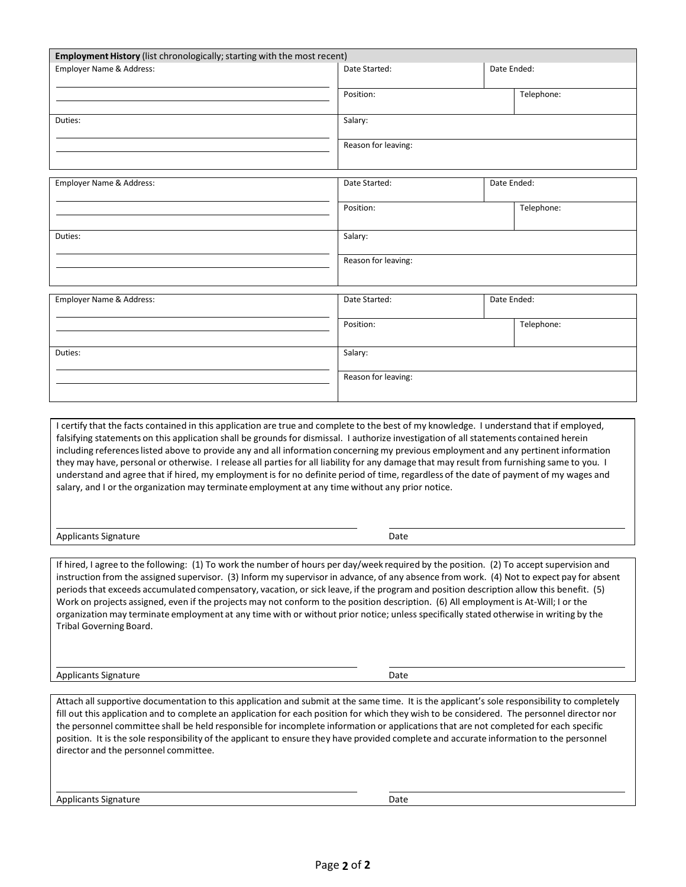| Employment History (list chronologically; starting with the most recent) |                     |             |
|--------------------------------------------------------------------------|---------------------|-------------|
| Employer Name & Address:                                                 | Date Started:       | Date Ended: |
|                                                                          | Position:           | Telephone:  |
| Duties:                                                                  | Salary:             |             |
|                                                                          | Reason for leaving: |             |
| Employer Name & Address:                                                 | Date Started:       | Date Ended: |
|                                                                          | Position:           | Telephone:  |
| Duties:                                                                  | Salary:             |             |
|                                                                          | Reason for leaving: |             |
| Employer Name & Address:                                                 | Date Started:       | Date Ended: |
|                                                                          | Position:           | Telephone:  |
| Duties:                                                                  | Salary:             |             |
|                                                                          | Reason for leaving: |             |
|                                                                          |                     |             |

I certify that the facts contained in this application are true and complete to the best of my knowledge. I understand that if employed, falsifying statements on this application shall be grounds for dismissal. I authorize investigation of all statements contained herein including referenceslisted above to provide any and all information concerning my previous employment and any pertinent information they may have, personal or otherwise. I release all parties for all liability for any damage that may result from furnishing same to you. I understand and agree that if hired, my employmentis for no definite period of time, regardless of the date of payment of my wages and salary, and I or the organization may terminate employment at any time without any prior notice.

Applicants Signature Date Date Communications and Date Date

If hired, I agree to the following: (1) To work the number of hours per day/week required by the position. (2) To accept supervision and instruction from the assigned supervisor. (3) Inform my supervisor in advance, of any absence from work. (4) Not to expect pay for absent periods that exceeds accumulated compensatory, vacation, or sick leave, if the program and position description allow this benefit. (5) Work on projects assigned, even if the projects may not conform to the position description. (6) All employmentis At-Will; I or the organization may terminate employment at any time with or without prior notice; unless specifically stated otherwise in writing by the Tribal Governing Board.

Applicants Signature Date

Attach all supportive documentation to this application and submit at the same time. It is the applicant's sole responsibility to completely fill out this application and to complete an application for each position for which they wish to be considered. The personnel director nor the personnel committee shall be held responsible for incomplete information or applications that are not completed for each specific position. It is the sole responsibility of the applicant to ensure they have provided complete and accurate information to the personnel director and the personnel committee.

Applicants Signature Date Date Communications and Date Date